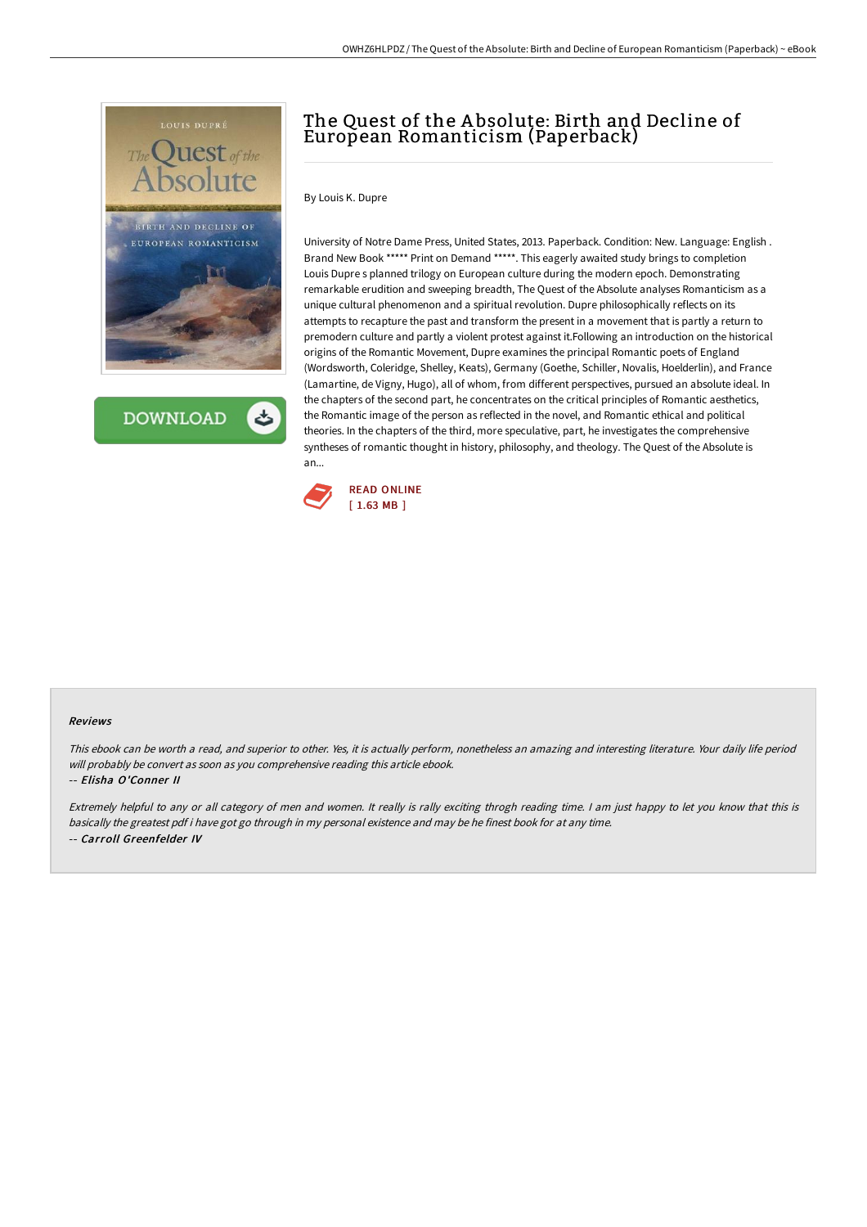

**DOWNLOAD** 

# The Quest of the A bsolute: Birth and Decline of European Romanticism (Paperback)

By Louis K. Dupre

University of Notre Dame Press, United States, 2013. Paperback. Condition: New. Language: English . Brand New Book \*\*\*\*\* Print on Demand \*\*\*\*\*. This eagerly awaited study brings to completion Louis Dupre s planned trilogy on European culture during the modern epoch. Demonstrating remarkable erudition and sweeping breadth, The Quest of the Absolute analyses Romanticism as a unique cultural phenomenon and a spiritual revolution. Dupre philosophically reflects on its attempts to recapture the past and transform the present in a movement that is partly a return to premodern culture and partly a violent protest against it.Following an introduction on the historical origins of the Romantic Movement, Dupre examines the principal Romantic poets of England (Wordsworth, Coleridge, Shelley, Keats), Germany (Goethe, Schiller, Novalis, Hoelderlin), and France (Lamartine, de Vigny, Hugo), all of whom, from different perspectives, pursued an absolute ideal. In the chapters of the second part, he concentrates on the critical principles of Romantic aesthetics, the Romantic image of the person as reflected in the novel, and Romantic ethical and political theories. In the chapters of the third, more speculative, part, he investigates the comprehensive syntheses of romantic thought in history, philosophy, and theology. The Quest of the Absolute is an...



### Reviews

This ebook can be worth <sup>a</sup> read, and superior to other. Yes, it is actually perform, nonetheless an amazing and interesting literature. Your daily life period will probably be convert as soon as you comprehensive reading this article ebook.

#### -- Elisha O'Conner II

Extremely helpful to any or all category of men and women. It really is rally exciting throgh reading time. <sup>I</sup> am just happy to let you know that this is basically the greatest pdf i have got go through in my personal existence and may be he finest book for at any time. -- Carroll Greenfelder IV